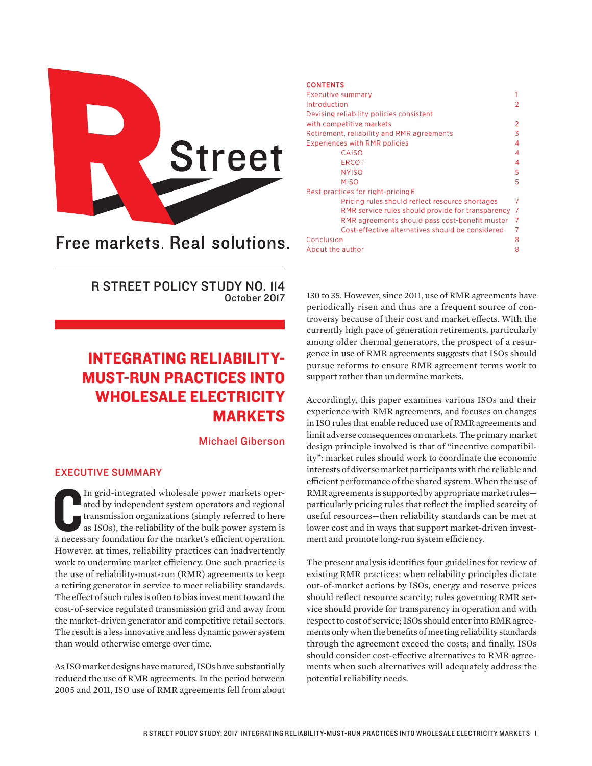

# Free markets. Real solutions.

R STREET POLICY STUDY NO. 114 October 2017

## INTEGRATING RELIABILITY-MUST-RUN PRACTICES INTO WHOLESALE ELECTRICITY MARKETS

Michael Giberson

## EXECUTIVE SUMMARY

In grid-integrated wholesale power markets operated by independent system operators and regional transmission organizations (simply referred to here as ISOs), the reliability of the bulk power system is a necessary foundat In grid-integrated wholesale power markets operated by independent system operators and regional transmission organizations (simply referred to here as ISOs), the reliability of the bulk power system is However, at times, reliability practices can inadvertently work to undermine market efficiency. One such practice is the use of reliability-must-run (RMR) agreements to keep a retiring generator in service to meet reliability standards. The effect of such rules is often to bias investment toward the cost-of-service regulated transmission grid and away from the market-driven generator and competitive retail sectors. The result is a less innovative and less dynamic power system than would otherwise emerge over time.

As ISO market designs have matured, ISOs have substantially reduced the use of RMR agreements. In the period between 2005 and 2011, ISO use of RMR agreements fell from about

#### **CONTENTS**

|            | Executive summary                                 |    |
|------------|---------------------------------------------------|----|
|            | Introduction                                      | 2  |
|            | Devising reliability policies consistent          |    |
|            | with competitive markets                          | 2  |
|            | Retirement, reliability and RMR agreements        | 3  |
|            | <b>Experiences with RMR policies</b>              | 4  |
|            | CAISO                                             | 4  |
|            | <b>ERCOT</b>                                      | 4  |
|            | <b>NYISO</b>                                      | 5  |
|            | <b>MISO</b>                                       | 5  |
|            | Best practices for right-pricing 6                |    |
|            | Pricing rules should reflect resource shortages   | 7  |
|            | RMR service rules should provide for transparency | -7 |
|            | RMR agreements should pass cost-benefit muster    | -7 |
|            | Cost-effective alternatives should be considered  | 7  |
| Conclusion |                                                   | 8  |
|            | About the author                                  | 8  |
|            |                                                   |    |

130 to 35. However, since 2011, use of RMR agreements have periodically risen and thus are a frequent source of controversy because of their cost and market effects. With the currently high pace of generation retirements, particularly among older thermal generators, the prospect of a resurgence in use of RMR agreements suggests that ISOs should pursue reforms to ensure RMR agreement terms work to support rather than undermine markets.

Accordingly, this paper examines various ISOs and their experience with RMR agreements, and focuses on changes in ISO rules that enable reduced use of RMR agreements and limit adverse consequences on markets. The primary market design principle involved is that of "incentive compatibility": market rules should work to coordinate the economic interests of diverse market participants with the reliable and efficient performance of the shared system. When the use of RMR agreements is supported by appropriate market rules particularly pricing rules that reflect the implied scarcity of useful resources—then reliability standards can be met at lower cost and in ways that support market-driven investment and promote long-run system efficiency.

The present analysis identifies four guidelines for review of existing RMR practices: when reliability principles dictate out-of-market actions by ISOs, energy and reserve prices should reflect resource scarcity; rules governing RMR service should provide for transparency in operation and with respect to cost of service; ISOs should enter into RMR agreements only when the benefits of meeting reliability standards through the agreement exceed the costs; and finally, ISOs should consider cost-effective alternatives to RMR agreements when such alternatives will adequately address the potential reliability needs.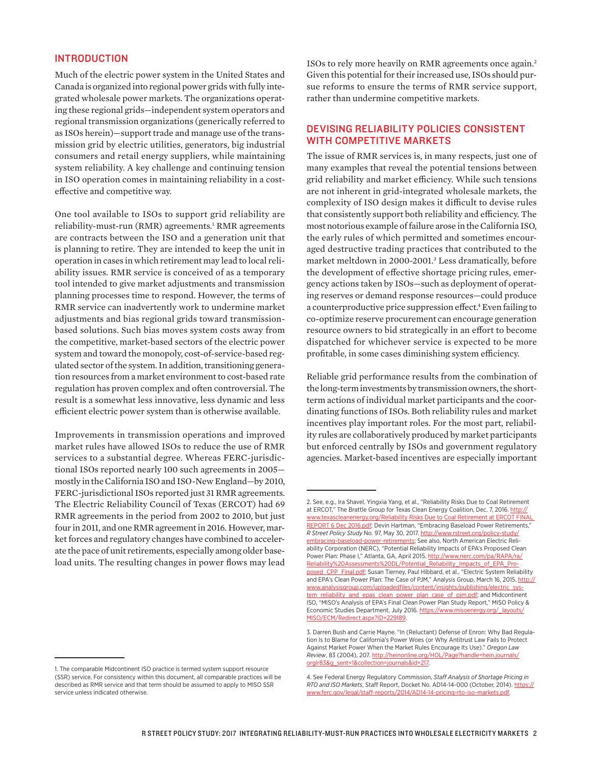#### INTRODUCTION

Much of the electric power system in the United States and Canada is organized into regional power grids with fully integrated wholesale power markets. The organizations operating these regional grids—independent system operators and regional transmission organizations (generically referred to as ISOs herein)—support trade and manage use of the transmission grid by electric utilities, generators, big industrial consumers and retail energy suppliers, while maintaining system reliability. A key challenge and continuing tension in ISO operation comes in maintaining reliability in a costeffective and competitive way.

One tool available to ISOs to support grid reliability are reliability-must-run (RMR) agreements.<sup>1</sup> RMR agreements are contracts between the ISO and a generation unit that is planning to retire. They are intended to keep the unit in operation in cases in which retirement may lead to local reliability issues. RMR service is conceived of as a temporary tool intended to give market adjustments and transmission planning processes time to respond. However, the terms of RMR service can inadvertently work to undermine market adjustments and bias regional grids toward transmissionbased solutions. Such bias moves system costs away from the competitive, market-based sectors of the electric power system and toward the monopoly, cost-of-service-based regulated sector of the system. In addition, transitioning generation resources from a market environment to cost-based rate regulation has proven complex and often controversial. The result is a somewhat less innovative, less dynamic and less efficient electric power system than is otherwise available.

Improvements in transmission operations and improved market rules have allowed ISOs to reduce the use of RMR services to a substantial degree. Whereas FERC-jurisdictional ISOs reported nearly 100 such agreements in 2005 mostly in the California ISO and ISO-New England—by 2010, FERC-jurisdictional ISOs reported just 31 RMR agreements. The Electric Reliability Council of Texas (ERCOT) had 69 RMR agreements in the period from 2002 to 2010, but just four in 2011, and one RMR agreement in 2016. However, market forces and regulatory changes have combined to accelerate the pace of unit retirements, especially among older baseload units. The resulting changes in power flows may lead

1. The comparable Midcontinent ISO practice is termed system support resource (SSR) service. For consistency within this document, all comparable practices will be described as RMR service and that term should be assumed to apply to MISO SSR service unless indicated otherwise.

ISOs to rely more heavily on RMR agreements once again.2 Given this potential for their increased use, ISOs should pursue reforms to ensure the terms of RMR service support, rather than undermine competitive markets.

## DEVISING RELIABILITY POLICIES CONSISTENT WITH COMPETITIVE MARKETS

The issue of RMR services is, in many respects, just one of many examples that reveal the potential tensions between grid reliability and market efficiency. While such tensions are not inherent in grid-integrated wholesale markets, the complexity of ISO design makes it difficult to devise rules that consistently support both reliability and efficiency. The most notorious example of failure arose in the California ISO, the early rules of which permitted and sometimes encouraged destructive trading practices that contributed to the market meltdown in 2000-2001.3 Less dramatically, before the development of effective shortage pricing rules, emergency actions taken by ISOs—such as deployment of operating reserves or demand response resources—could produce a counterproductive price suppression effect.<sup>4</sup> Even failing to co-optimize reserve procurement can encourage generation resource owners to bid strategically in an effort to become dispatched for whichever service is expected to be more profitable, in some cases diminishing system efficiency.

Reliable grid performance results from the combination of the long-term investments by transmission owners, the shortterm actions of individual market participants and the coordinating functions of ISOs. Both reliability rules and market incentives play important roles. For the most part, reliability rules are collaboratively produced by market participants but enforced centrally by ISOs and government regulatory agencies. Market-based incentives are especially important

<sup>2.</sup> See, e.g., Ira Shavel, Yingxia Yang, et al., "Reliability Risks Due to Coal Retirement at ERCOT," The Brattle Group for Texas Clean Energy Coalition, Dec. 7, 2016. [http://](http://www.texascleanenergy.org/Reliability%20Risks%20Due%20to%20Coal%20Retirement%20at%20ERCOT%20FINAL%20REPORT%206%20Dec%202016.pdf) [www.texascleanenergy.org/Reliability Risks Due to Coal Retirement at ERCOT FINAL](http://www.texascleanenergy.org/Reliability%20Risks%20Due%20to%20Coal%20Retirement%20at%20ERCOT%20FINAL%20REPORT%206%20Dec%202016.pdf)  [REPORT 6 Dec 2016.pdf](http://www.texascleanenergy.org/Reliability%20Risks%20Due%20to%20Coal%20Retirement%20at%20ERCOT%20FINAL%20REPORT%206%20Dec%202016.pdf); Devin Hartman, "Embracing Baseload Power Retirements," *R Street Policy Study* No. 97, May 30, 2017. [http://www.rstreet.org/policy-study/](http://www.rstreet.org/policy-study/embracing-baseload-power-retirements/) [embracing-baseload-power-retirements;](http://www.rstreet.org/policy-study/embracing-baseload-power-retirements/) See also, North American Electric Reliability Corporation (NERC), "Potential Reliability Impacts of EPA's Proposed Clean Power Plan: Phase I," Atlanta, GA, April 2015. [http://www.nerc.com/pa/RAPA/ra/](http://www.nerc.com/pa/RAPA/ra/Reliability%20Assessments%20DL/Potential_Reliability_Impacts_of_EPA_Proposed_CPP_Final.pdf) [Reliability%20Assessments%20DL/Potential\\_Reliability\\_Impacts\\_of\\_EPA\\_Pro](http://www.nerc.com/pa/RAPA/ra/Reliability%20Assessments%20DL/Potential_Reliability_Impacts_of_EPA_Proposed_CPP_Final.pdf)[posed\\_CPP\\_Final.pdf](http://www.nerc.com/pa/RAPA/ra/Reliability%20Assessments%20DL/Potential_Reliability_Impacts_of_EPA_Proposed_CPP_Final.pdf); Susan Tierney, Paul Hibbard, et al., "Electric System Reliability and EPA's Clean Power Plan: The Case of PJM," Analysis Group, March 16, 2015. http: www.analysisgroup.com/uploadedfiles/content/insights/publishing/ [tem\\_reliability\\_and\\_epas\\_clean\\_power\\_plan\\_case\\_of\\_pjm.pdf;](http://www.analysisgroup.com/uploadedfiles/content/insights/publishing/electric_system_reliability_and_epas_clean_power_plan_case_of_pjm.pdf) and Midcontinent ISO, "MISO's Analysis of EPA's Final Clean Power Plan Study Report," MISO Policy & Economic Studies Department, July 2016. [https://www.misoenergy.org/\\_layouts/](https://www.misoenergy.org/_layouts/MISO/ECM/Redirect.aspx?ID=229189) [MISO/ECM/Redirect.aspx?ID=229189.](https://www.misoenergy.org/_layouts/MISO/ECM/Redirect.aspx?ID=229189)

<sup>3.</sup> Darren Bush and Carrie Mayne. "In (Reluctant) Defense of Enron: Why Bad Regulation Is to Blame for California's Power Woes (or Why Antitrust Law Fails to Protect Against Market Power When the Market Rules Encourage Its Use)." *Oregon Law Review*, 83 (2004), 207. [http://heinonline.org/HOL/Page?handle=hein.journals/](http://heinonline.org/HOL/Page?handle=hein.journals/orglr83&g_sent=1&collection=journals&id=217) sent=1&collection=journals&id=217.

<sup>4.</sup> See Federal Energy Regulatory Commission, *Staff Analysis of Shortage Pricing in RTO and ISO Markets*, Staff Report, Docket No. AD14-14-000 (October, 2014). [https://](https://www.ferc.gov/legal/staff-reports/2014/AD14-14-pricing-rto-iso-markets.pdf) [www.ferc.gov/legal/staff-reports/2014/AD14-14-pricing-rto-iso-markets.pdf.](https://www.ferc.gov/legal/staff-reports/2014/AD14-14-pricing-rto-iso-markets.pdf)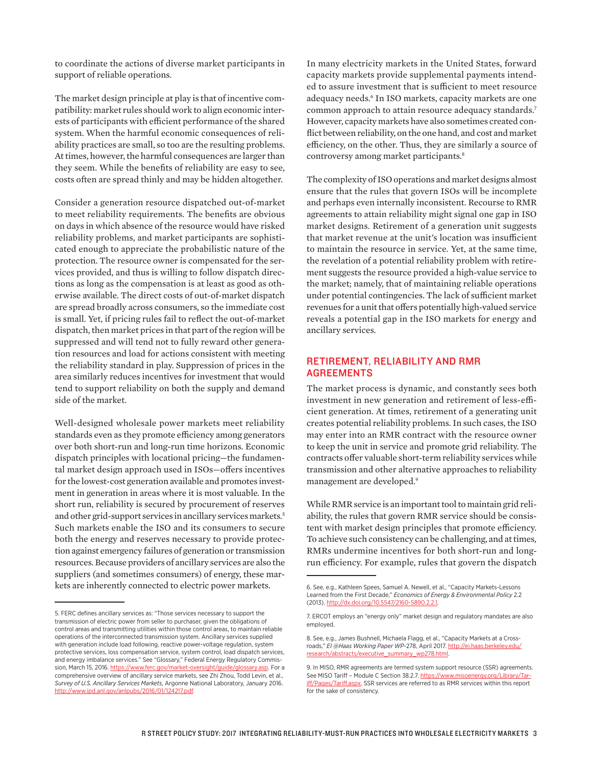to coordinate the actions of diverse market participants in support of reliable operations.

The market design principle at play is that of incentive compatibility: market rules should work to align economic interests of participants with efficient performance of the shared system. When the harmful economic consequences of reliability practices are small, so too are the resulting problems. At times, however, the harmful consequences are larger than they seem. While the benefits of reliability are easy to see, costs often are spread thinly and may be hidden altogether.

Consider a generation resource dispatched out-of-market to meet reliability requirements. The benefits are obvious on days in which absence of the resource would have risked reliability problems, and market participants are sophisticated enough to appreciate the probabilistic nature of the protection. The resource owner is compensated for the services provided, and thus is willing to follow dispatch directions as long as the compensation is at least as good as otherwise available. The direct costs of out-of-market dispatch are spread broadly across consumers, so the immediate cost is small. Yet, if pricing rules fail to reflect the out-of-market dispatch, then market prices in that part of the region will be suppressed and will tend not to fully reward other generation resources and load for actions consistent with meeting the reliability standard in play. Suppression of prices in the area similarly reduces incentives for investment that would tend to support reliability on both the supply and demand side of the market.

Well-designed wholesale power markets meet reliability standards even as they promote efficiency among generators over both short-run and long-run time horizons. Economic dispatch principles with locational pricing—the fundamental market design approach used in ISOs—offers incentives for the lowest-cost generation available and promotes investment in generation in areas where it is most valuable. In the short run, reliability is secured by procurement of reserves and other grid-support services in ancillary services markets.<sup>5</sup> Such markets enable the ISO and its consumers to secure both the energy and reserves necessary to provide protection against emergency failures of generation or transmission resources. Because providers of ancillary services are also the suppliers (and sometimes consumers) of energy, these markets are inherently connected to electric power markets.

In many electricity markets in the United States, forward capacity markets provide supplemental payments intended to assure investment that is sufficient to meet resource adequacy needs.6 In ISO markets, capacity markets are one common approach to attain resource adequacy standards.7 However, capacity markets have also sometimes created conflict between reliability, on the one hand, and cost and market efficiency, on the other. Thus, they are similarly a source of controversy among market participants.<sup>8</sup>

The complexity of ISO operations and market designs almost ensure that the rules that govern ISOs will be incomplete and perhaps even internally inconsistent. Recourse to RMR agreements to attain reliability might signal one gap in ISO market designs. Retirement of a generation unit suggests that market revenue at the unit's location was insufficient to maintain the resource in service. Yet, at the same time, the revelation of a potential reliability problem with retirement suggests the resource provided a high-value service to the market; namely, that of maintaining reliable operations under potential contingencies. The lack of sufficient market revenues for a unit that offers potentially high-valued service reveals a potential gap in the ISO markets for energy and ancillary services.

## RETIREMENT, RELIABILITY AND RMR AGREEMENTS

The market process is dynamic, and constantly sees both investment in new generation and retirement of less-efficient generation. At times, retirement of a generating unit creates potential reliability problems. In such cases, the ISO may enter into an RMR contract with the resource owner to keep the unit in service and promote grid reliability. The contracts offer valuable short-term reliability services while transmission and other alternative approaches to reliability management are developed.<sup>9</sup>

While RMR service is an important tool to maintain grid reliability, the rules that govern RMR service should be consistent with market design principles that promote efficiency. To achieve such consistency can be challenging, and at times, RMRs undermine incentives for both short-run and longrun efficiency. For example, rules that govern the dispatch

<sup>5.</sup> FERC defines ancillary services as: "Those services necessary to support the transmission of electric power from seller to purchaser, given the obligations of control areas and transmitting utilities within those control areas, to maintain reliable operations of the interconnected transmission system. Ancillary services supplied with generation include load following, reactive power-voltage regulation, system protective services, loss compensation service, system control, load dispatch services, and energy imbalance services." See "Glossary," Federal Energy Regulatory Commission, March 15, 2016.<https://www.ferc.gov/market-oversight/guide/glossary.asp>. For a comprehensive overview of ancillary service markets, see Zhi Zhou, Todd Levin, et al., *Survey of U.S. Ancillary Services Markets*, Argonne National Laboratory, January 2016. [http://www.ipd.anl.gov/anlpubs/2016/01/124217.pdf.](http://www.ipd.anl.gov/anlpubs/2016/01/124217.pdf)

<sup>6.</sup> See, e.g., Kathleen Spees, Samuel A. Newell, et al., "Capacity Markets-Lessons Learned from the First Decade," *Economics of Energy & Environmental Policy* 2.2 (2013). http://dx.doi.org/10.5547/2160-5890.

<sup>7.</sup> ERCOT employs an "energy only" market design and regulatory mandates are also employed.

<sup>8.</sup> See, e.g., James Bushnell, Michaela Flagg, et al., "Capacity Markets at a Crossroads," *EI @Haas Working Paper WP*-278, April 2017. [http://ei.haas.berkeley.edu/](http://ei.haas.berkeley.edu/research/abstracts/executive_summary_wp278.html) [research/abstracts/executive\\_summary\\_wp278.html.](http://ei.haas.berkeley.edu/research/abstracts/executive_summary_wp278.html)

<sup>9.</sup> In MISO, RMR agreements are termed system support resource (SSR) agreements. See MISO Tariff - Module C Section 38.2.7. [https://www.misoenergy.org/Library/Tar](https://www.misoenergy.org/Library/Tariff/Pages/Tariff.aspx)[iff/Pages/Tariff.aspx](https://www.misoenergy.org/Library/Tariff/Pages/Tariff.aspx). SSR services are referred to as RMR services within this report for the sake of consistency.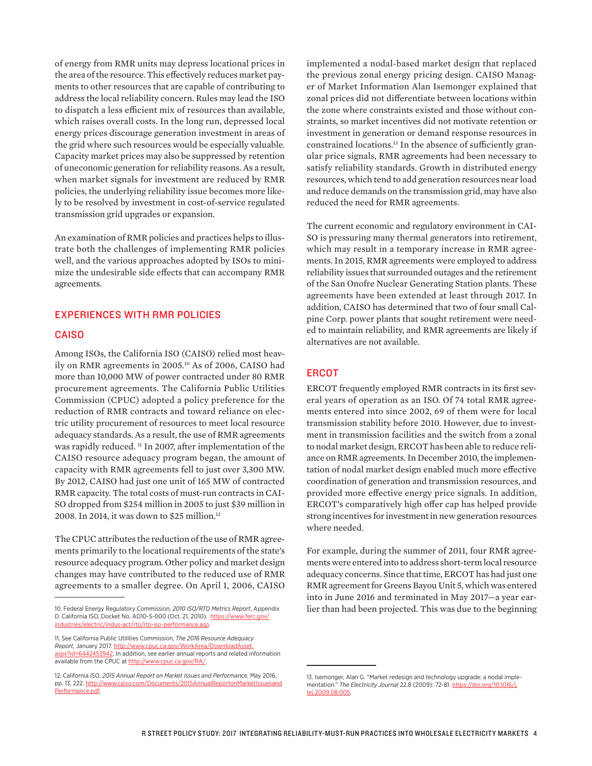of energy from RMR units may depress locational prices in the area of the resource. This effectively reduces market payments to other resources that are capable of contributing to address the local reliability concern. Rules may lead the ISO to dispatch a less efficient mix of resources than available, which raises overall costs. In the long run, depressed local energy prices discourage generation investment in areas of the grid where such resources would be especially valuable. Capacity market prices may also be suppressed by retention of uneconomic generation for reliability reasons. As a result, when market signals for investment are reduced by RMR policies, the underlying reliability issue becomes more likely to be resolved by investment in cost-of-service regulated transmission grid upgrades or expansion.

An examination of RMR policies and practices helps to illustrate both the challenges of implementing RMR policies well, and the various approaches adopted by ISOs to minimize the undesirable side effects that can accompany RMR agreements.

#### EXPERIENCES WITH RMR POLICIES

#### **CAISO**

Among ISOs, the California ISO (CAISO) relied most heavily on RMR agreements in 2005.10 As of 2006, CAISO had more than 10,000 MW of power contracted under 80 RMR procurement agreements. The California Public Utilities Commission (CPUC) adopted a policy preference for the reduction of RMR contracts and toward reliance on electric utility procurement of resources to meet local resource adequacy standards. As a result, the use of RMR agreements was rapidly reduced. <sup>11</sup> In 2007, after implementation of the CAISO resource adequacy program began, the amount of capacity with RMR agreements fell to just over 3,300 MW. By 2012, CAISO had just one unit of 165 MW of contracted RMR capacity. The total costs of must-run contracts in CAI-SO dropped from \$254 million in 2005 to just \$39 million in 2008. In 2014, it was down to \$25 million.12

The CPUC attributes the reduction of the use of RMR agreements primarily to the locational requirements of the state's resource adequacy program. Other policy and market design changes may have contributed to the reduced use of RMR agreements to a smaller degree. On April 1, 2006, CAISO

implemented a nodal-based market design that replaced the previous zonal energy pricing design. CAISO Manager of Market Information Alan Isemonger explained that zonal prices did not differentiate between locations within the zone where constraints existed and those without constraints, so market incentives did not motivate retention or investment in generation or demand response resources in constrained locations.13 In the absence of sufficiently granular price signals, RMR agreements had been necessary to satisfy reliability standards. Growth in distributed energy resources, which tend to add generation resources near load and reduce demands on the transmission grid, may have also reduced the need for RMR agreements.

The current economic and regulatory environment in CAI-SO is pressuring many thermal generators into retirement, which may result in a temporary increase in RMR agreements. In 2015, RMR agreements were employed to address reliability issues that surrounded outages and the retirement of the San Onofre Nuclear Generating Station plants. These agreements have been extended at least through 2017. In addition, CAISO has determined that two of four small Calpine Corp. power plants that sought retirement were needed to maintain reliability, and RMR agreements are likely if alternatives are not available.

#### **ERCOT**

ERCOT frequently employed RMR contracts in its first several years of operation as an ISO. Of 74 total RMR agreements entered into since 2002, 69 of them were for local transmission stability before 2010. However, due to investment in transmission facilities and the switch from a zonal to nodal market design, ERCOT has been able to reduce reliance on RMR agreements. In December 2010, the implementation of nodal market design enabled much more effective coordination of generation and transmission resources, and provided more effective energy price signals. In addition, ERCOT's comparatively high offer cap has helped provide strong incentives for investment in new generation resources where needed.

For example, during the summer of 2011, four RMR agreements were entered into to address short-term local resource adequacy concerns. Since that time, ERCOT has had just one RMR agreement for Greens Bayou Unit 5, which was entered into in June 2016 and terminated in May 2017—a year earlier than had been projected. This was due to the beginning

<sup>10.</sup> Federal Energy Regulatory Commission, *2010 ISO/RTO Metrics Report*, Appendix D. California ISO, Docket No. AD10-5-000 (Oct. 21, 2010). [https://www.ferc.gov/](https://www.ferc.gov/industries/electric/indus-act/rto/rto-iso-performance.asp) [industries/electric/indus-act/rto/rto-iso-performance.asp](https://www.ferc.gov/industries/electric/indus-act/rto/rto-iso-performance.asp).

<sup>11.</sup> See California Public Utilities Commission, *The 2016 Resource Adequacy Report,* January 2017. [http://www.cpuc.ca.gov/WorkArea/DownloadAsset.](http://www.cpuc.ca.gov/WorkArea/DownloadAsset.aspx?id=6442453942) [aspx?id=6442453942.](http://www.cpuc.ca.gov/WorkArea/DownloadAsset.aspx?id=6442453942) In addition, see earlier annual reports and related information available from the CPUC at http://www.cpuc.ca.gov/RA/

<sup>12.</sup> California ISO, *2015 Annual Report on Market Issues and Performance*, May 2016, pp. 13, 222. [http://www.caiso.com/Documents/2015AnnualReportonMarketIssuesand](http://www.caiso.com/Documents/2015AnnualReportonMarketIssuesandPerformance.pdf) [Performance.pdf](http://www.caiso.com/Documents/2015AnnualReportonMarketIssuesandPerformance.pdf).

<sup>13.</sup> Isemonger, Alan G. "Market redesign and technology upgrade: a nodal implementation." *The Electricity Journal* 22.8 (2009): 72-81. [https://doi.org/10.1016/j.](https://doi.org/10.1016/j.tej.2009.08.005) [tej.2009.08.005](https://doi.org/10.1016/j.tej.2009.08.005).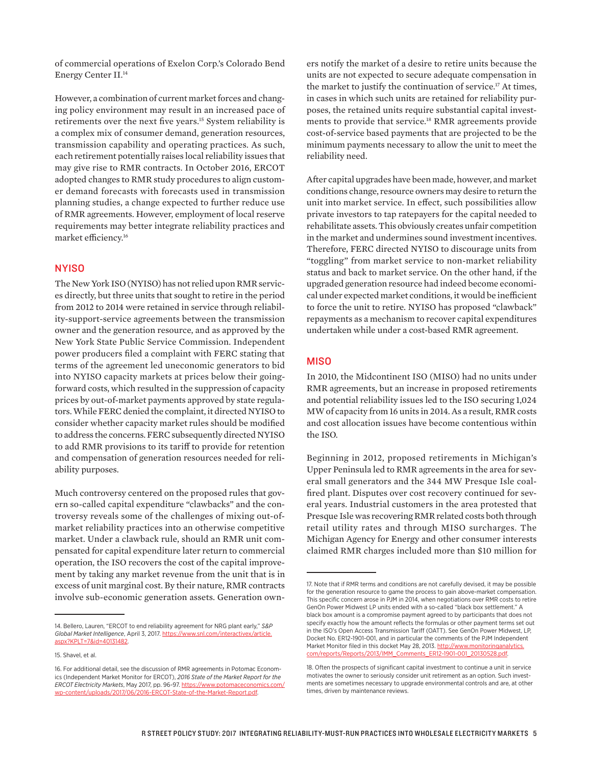of commercial operations of Exelon Corp.'s Colorado Bend Energy Center II.14

However, a combination of current market forces and changing policy environment may result in an increased pace of retirements over the next five years.15 System reliability is a complex mix of consumer demand, generation resources, transmission capability and operating practices. As such, each retirement potentially raises local reliability issues that may give rise to RMR contracts. In October 2016, ERCOT adopted changes to RMR study procedures to align customer demand forecasts with forecasts used in transmission planning studies, a change expected to further reduce use of RMR agreements. However, employment of local reserve requirements may better integrate reliability practices and market efficiency.16

#### NYISO

The New York ISO (NYISO) has not relied upon RMR services directly, but three units that sought to retire in the period from 2012 to 2014 were retained in service through reliability-support-service agreements between the transmission owner and the generation resource, and as approved by the New York State Public Service Commission. Independent power producers filed a complaint with FERC stating that terms of the agreement led uneconomic generators to bid into NYISO capacity markets at prices below their goingforward costs, which resulted in the suppression of capacity prices by out-of-market payments approved by state regulators. While FERC denied the complaint, it directed NYISO to consider whether capacity market rules should be modified to address the concerns. FERC subsequently directed NYISO to add RMR provisions to its tariff to provide for retention and compensation of generation resources needed for reliability purposes.

Much controversy centered on the proposed rules that govern so-called capital expenditure "clawbacks" and the controversy reveals some of the challenges of mixing out-ofmarket reliability practices into an otherwise competitive market. Under a clawback rule, should an RMR unit compensated for capital expenditure later return to commercial operation, the ISO recovers the cost of the capital improvement by taking any market revenue from the unit that is in excess of unit marginal cost. By their nature, RMR contracts involve sub-economic generation assets. Generation own-

ers notify the market of a desire to retire units because the units are not expected to secure adequate compensation in the market to justify the continuation of service.17 At times, in cases in which such units are retained for reliability purposes, the retained units require substantial capital investments to provide that service.18 RMR agreements provide cost-of-service based payments that are projected to be the minimum payments necessary to allow the unit to meet the reliability need.

After capital upgrades have been made, however, and market conditions change, resource owners may desire to return the unit into market service. In effect, such possibilities allow private investors to tap ratepayers for the capital needed to rehabilitate assets. This obviously creates unfair competition in the market and undermines sound investment incentives. Therefore, FERC directed NYISO to discourage units from "toggling" from market service to non-market reliability status and back to market service. On the other hand, if the upgraded generation resource had indeed become economical under expected market conditions, it would be inefficient to force the unit to retire. NYISO has proposed "clawback" repayments as a mechanism to recover capital expenditures undertaken while under a cost-based RMR agreement.

### **MISO**

In 2010, the Midcontinent ISO (MISO) had no units under RMR agreements, but an increase in proposed retirements and potential reliability issues led to the ISO securing 1,024 MW of capacity from 16 units in 2014. As a result, RMR costs and cost allocation issues have become contentious within the ISO.

Beginning in 2012, proposed retirements in Michigan's Upper Peninsula led to RMR agreements in the area for several small generators and the 344 MW Presque Isle coalfired plant. Disputes over cost recovery continued for several years. Industrial customers in the area protested that Presque Isle was recovering RMR related costs both through retail utility rates and through MISO surcharges. The Michigan Agency for Energy and other consumer interests claimed RMR charges included more than \$10 million for

<sup>14.</sup> Bellero, Lauren, "ERCOT to end reliability agreement for NRG plant early," *S&P Global Market Intelligence*, April 3, 2017. [https://www.snl.com/interactivex/article.](https://www.snl.com/interactivex/article.aspx?KPLT=7&id=40131482) [aspx?KPLT=7&id=40131482.](https://www.snl.com/interactivex/article.aspx?KPLT=7&id=40131482)

<sup>15.</sup> Shavel, et al.

<sup>16.</sup> For additional detail, see the discussion of RMR agreements in Potomac Economics (Independent Market Monitor for ERCOT), *2016 State of the Market Report for the ERCOT Electricity Markets*, May 2017, pp. 96-97. [https://www.potomaceconomics.com/](https://www.potomaceconomics.com/wp-content/uploads/2017/06/2016-ERCOT-State-of-the-Market-Report.pdf) [wp-content/uploads/2017/06/2016-ERCOT-State-of-the-Market-Report.pdf](https://www.potomaceconomics.com/wp-content/uploads/2017/06/2016-ERCOT-State-of-the-Market-Report.pdf).

<sup>17.</sup> Note that if RMR terms and conditions are not carefully devised, it may be possible for the generation resource to game the process to gain above-market compensation. This specific concern arose in PJM in 2014, when negotiations over RMR costs to retire GenOn Power Midwest LP units ended with a so-called "black box settlement." A black box amount is a compromise payment agreed to by participants that does not specify exactly how the amount reflects the formulas or other payment terms set out in the ISO's Open Access Transmission Tariff (OATT). See GenOn Power Midwest, LP, Docket No. ER12-1901-001, and in particular the comments of the PJM Independent Market Monitor filed in this docket May 28, 2013. [http://www.monitoringanalytics.](http://www.monitoringanalytics.com/reports/Reports/2013/IMM_Comments_ER12-1901-001_20130528.pdf) [com/reports/Reports/2013/IMM\\_Comments\\_ER12-1901-001\\_20130528.pdf.](http://www.monitoringanalytics.com/reports/Reports/2013/IMM_Comments_ER12-1901-001_20130528.pdf)

<sup>18.</sup> Often the prospects of significant capital investment to continue a unit in service motivates the owner to seriously consider unit retirement as an option. Such investments are sometimes necessary to upgrade environmental controls and are, at other times, driven by maintenance reviews.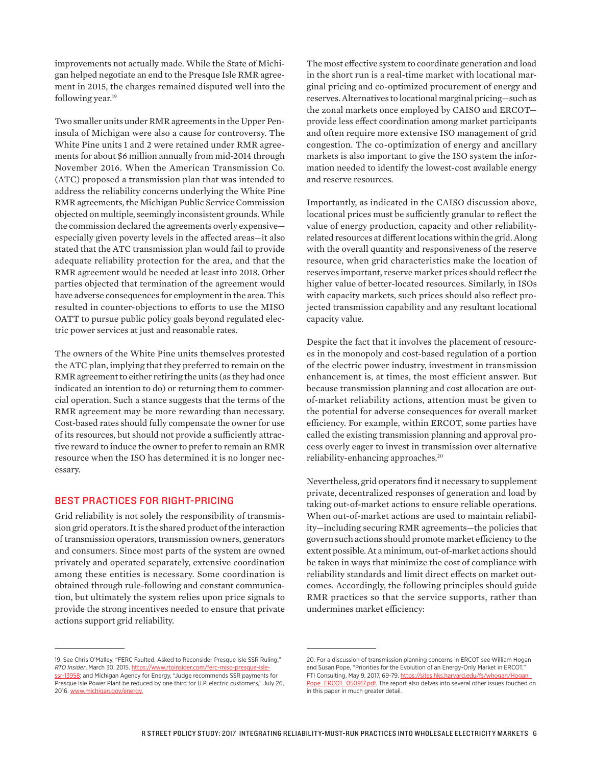improvements not actually made. While the State of Michigan helped negotiate an end to the Presque Isle RMR agreement in 2015, the charges remained disputed well into the following year.<sup>19</sup>

Two smaller units under RMR agreements in the Upper Peninsula of Michigan were also a cause for controversy. The White Pine units 1 and 2 were retained under RMR agreements for about \$6 million annually from mid-2014 through November 2016. When the American Transmission Co. (ATC) proposed a transmission plan that was intended to address the reliability concerns underlying the White Pine RMR agreements, the Michigan Public Service Commission objected on multiple, seemingly inconsistent grounds. While the commission declared the agreements overly expensive especially given poverty levels in the affected areas—it also stated that the ATC transmission plan would fail to provide adequate reliability protection for the area, and that the RMR agreement would be needed at least into 2018. Other parties objected that termination of the agreement would have adverse consequences for employment in the area. This resulted in counter-objections to efforts to use the MISO OATT to pursue public policy goals beyond regulated electric power services at just and reasonable rates.

The owners of the White Pine units themselves protested the ATC plan, implying that they preferred to remain on the RMR agreement to either retiring the units (as they had once indicated an intention to do) or returning them to commercial operation. Such a stance suggests that the terms of the RMR agreement may be more rewarding than necessary. Cost-based rates should fully compensate the owner for use of its resources, but should not provide a sufficiently attractive reward to induce the owner to prefer to remain an RMR resource when the ISO has determined it is no longer necessary.

#### BEST PRACTICES FOR RIGHT-PRICING

Grid reliability is not solely the responsibility of transmission grid operators. It is the shared product of the interaction of transmission operators, transmission owners, generators and consumers. Since most parts of the system are owned privately and operated separately, extensive coordination among these entities is necessary. Some coordination is obtained through rule-following and constant communication, but ultimately the system relies upon price signals to provide the strong incentives needed to ensure that private actions support grid reliability.

The most effective system to coordinate generation and load in the short run is a real-time market with locational marginal pricing and co-optimized procurement of energy and reserves. Alternatives to locational marginal pricing—such as the zonal markets once employed by CAISO and ERCOT provide less effect coordination among market participants and often require more extensive ISO management of grid congestion. The co-optimization of energy and ancillary markets is also important to give the ISO system the information needed to identify the lowest-cost available energy and reserve resources.

Importantly, as indicated in the CAISO discussion above, locational prices must be sufficiently granular to reflect the value of energy production, capacity and other reliabilityrelated resources at different locations within the grid. Along with the overall quantity and responsiveness of the reserve resource, when grid characteristics make the location of reserves important, reserve market prices should reflect the higher value of better-located resources. Similarly, in ISOs with capacity markets, such prices should also reflect projected transmission capability and any resultant locational capacity value.

Despite the fact that it involves the placement of resources in the monopoly and cost-based regulation of a portion of the electric power industry, investment in transmission enhancement is, at times, the most efficient answer. But because transmission planning and cost allocation are outof-market reliability actions, attention must be given to the potential for adverse consequences for overall market efficiency. For example, within ERCOT, some parties have called the existing transmission planning and approval process overly eager to invest in transmission over alternative reliability-enhancing approaches.20

Nevertheless, grid operators find it necessary to supplement private, decentralized responses of generation and load by taking out-of-market actions to ensure reliable operations. When out-of-market actions are used to maintain reliability—including securing RMR agreements—the policies that govern such actions should promote market efficiency to the extent possible. At a minimum, out-of-market actions should be taken in ways that minimize the cost of compliance with reliability standards and limit direct effects on market outcomes. Accordingly, the following principles should guide RMR practices so that the service supports, rather than undermines market efficiency:

<sup>19.</sup> See Chris O'Malley, "FERC Faulted, Asked to Reconsider Presque Isle SSR Ruling," *RTO Insider*, March 30, 2015. [https://www.rtoinsider.com/ferc-miso-presque-isle](https://www.rtoinsider.com/ferc-miso-presque-isle-ssr-13958)[ssr-13958;](https://www.rtoinsider.com/ferc-miso-presque-isle-ssr-13958) and Michigan Agency for Energy, "Judge recommends SSR payments for Presque Isle Power Plant be reduced by one third for U.P. electric customers," July 26, 2016. [www.michigan.gov/energy.](http://www.michigan.gov/energy)

<sup>20.</sup> For a discussion of transmission planning concerns in ERCOT see William Hogan and Susan Pope, "Priorities for the Evolution of an Energy-Only Market in ERCOT," FTI Consulting, May 9, 2017, 69-79. https://sites.hks.harvard.edu/fs/whogan/Hogan [Pope\\_ERCOT\\_050917.pdf.](https://sites.hks.harvard.edu/fs/whogan/Hogan_Pope_ERCOT_050917.pdf) The report also delves into several other issues touched on in this paper in much greater detail.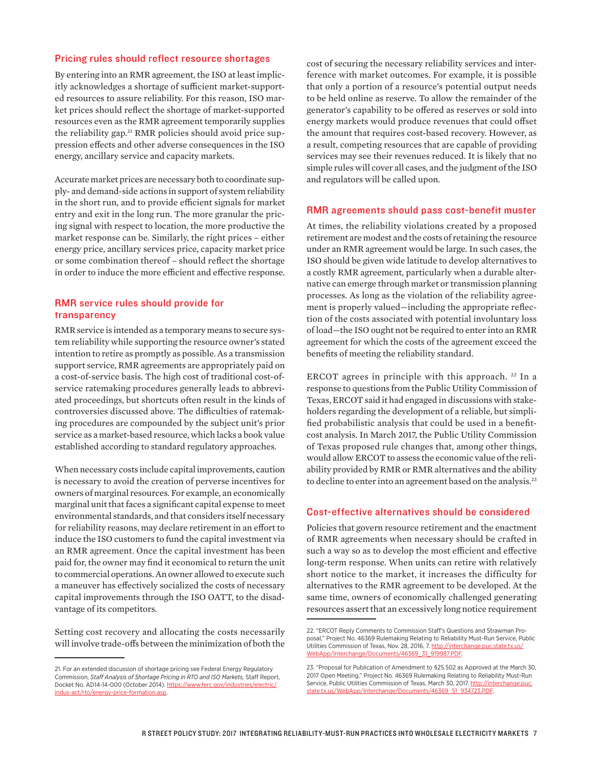#### Pricing rules should reflect resource shortages

By entering into an RMR agreement, the ISO at least implicitly acknowledges a shortage of sufficient market-supported resources to assure reliability. For this reason, ISO market prices should reflect the shortage of market-supported resources even as the RMR agreement temporarily supplies the reliability gap.<sup>21</sup> RMR policies should avoid price suppression effects and other adverse consequences in the ISO energy, ancillary service and capacity markets.

Accurate market prices are necessary both to coordinate supply- and demand-side actions in support of system reliability in the short run, and to provide efficient signals for market entry and exit in the long run. The more granular the pricing signal with respect to location, the more productive the market response can be. Similarly, the right prices – either energy price, ancillary services price, capacity market price or some combination thereof – should reflect the shortage in order to induce the more efficient and effective response.

#### RMR service rules should provide for transparency

RMR service is intended as a temporary means to secure system reliability while supporting the resource owner's stated intention to retire as promptly as possible. As a transmission support service, RMR agreements are appropriately paid on a cost-of-service basis. The high cost of traditional cost-ofservice ratemaking procedures generally leads to abbreviated proceedings, but shortcuts often result in the kinds of controversies discussed above. The difficulties of ratemaking procedures are compounded by the subject unit's prior service as a market-based resource, which lacks a book value established according to standard regulatory approaches.

When necessary costs include capital improvements, caution is necessary to avoid the creation of perverse incentives for owners of marginal resources. For example, an economically marginal unit that faces a significant capital expense to meet environmental standards, and that considers itself necessary for reliability reasons, may declare retirement in an effort to induce the ISO customers to fund the capital investment via an RMR agreement. Once the capital investment has been paid for, the owner may find it economical to return the unit to commercial operations. An owner allowed to execute such a maneuver has effectively socialized the costs of necessary capital improvements through the ISO OATT, to the disadvantage of its competitors.

Setting cost recovery and allocating the costs necessarily will involve trade-offs between the minimization of both the

cost of securing the necessary reliability services and interference with market outcomes. For example, it is possible that only a portion of a resource's potential output needs to be held online as reserve. To allow the remainder of the generator's capability to be offered as reserves or sold into energy markets would produce revenues that could offset the amount that requires cost-based recovery. However, as a result, competing resources that are capable of providing services may see their revenues reduced. It is likely that no simple rules will cover all cases, and the judgment of the ISO and regulators will be called upon.

#### RMR agreements should pass cost-benefit muster

At times, the reliability violations created by a proposed retirement are modest and the costs of retaining the resource under an RMR agreement would be large. In such cases, the ISO should be given wide latitude to develop alternatives to a costly RMR agreement, particularly when a durable alternative can emerge through market or transmission planning processes. As long as the violation of the reliability agreement is properly valued—including the appropriate reflection of the costs associated with potential involuntary loss of load—the ISO ought not be required to enter into an RMR agreement for which the costs of the agreement exceed the benefits of meeting the reliability standard.

ERCOT agrees in principle with this approach.<sup>22</sup> In a response to questions from the Public Utility Commission of Texas, ERCOT said it had engaged in discussions with stakeholders regarding the development of a reliable, but simplified probabilistic analysis that could be used in a benefitcost analysis. In March 2017, the Public Utility Commission of Texas proposed rule changes that, among other things, would allow ERCOT to assess the economic value of the reliability provided by RMR or RMR alternatives and the ability to decline to enter into an agreement based on the analysis.<sup>23</sup>

#### Cost-effective alternatives should be considered

Policies that govern resource retirement and the enactment of RMR agreements when necessary should be crafted in such a way so as to develop the most efficient and effective long-term response. When units can retire with relatively short notice to the market, it increases the difficulty for alternatives to the RMR agreement to be developed. At the same time, owners of economically challenged generating resources assert that an excessively long notice requirement

<sup>21.</sup> For an extended discussion of shortage pricing see Federal Energy Regulatory Commission, *Staff Analysis of Shortage Pricing in RTO and ISO Markets,* Staff Report, Docket No. AD14-14-000 (October 2014). [https://www.ferc.gov/industries/electric/](https://www.ferc.gov/industries/electric/indus-act/rto/energy-price-formation.asp) [indus-act/rto/energy-price-formation.asp](https://www.ferc.gov/industries/electric/indus-act/rto/energy-price-formation.asp).

<sup>22. &</sup>quot;ERCOT Reply Comments to Commission Staff's Questions and Strawman Proposal," Project No. 46369 Rulemaking Relating to Reliability Must-Run Service, Public Utilities Commission of Texas, Nov. 28, 2016, 7. [http://interchange.puc.state.tx.us/](http://interchange.puc.state.tx.us/WebApp/Interchange/Documents/46369_31_919987.PDF) [WebApp/Interchange/Documents/46369\\_31\\_919987.PDF](http://interchange.puc.state.tx.us/WebApp/Interchange/Documents/46369_31_919987.PDF).

<sup>23. &</sup>quot;Proposal for Publication of Amendment to §25.502 as Approved at the March 30, 2017 Open Meeting," Project No. 46369 Rulemaking Relating to Reliability Must-Run Service, Public Utilities Commission of Texas, March 30, 2017. [http://interchange.puc.](http://interchange.puc.state.tx.us/WebApp/Interchange/Documents/46369_51_934723.PDF) [state.tx.us/WebApp/Interchange/Documents/46369\\_51\\_934723.PDF.](http://interchange.puc.state.tx.us/WebApp/Interchange/Documents/46369_51_934723.PDF)